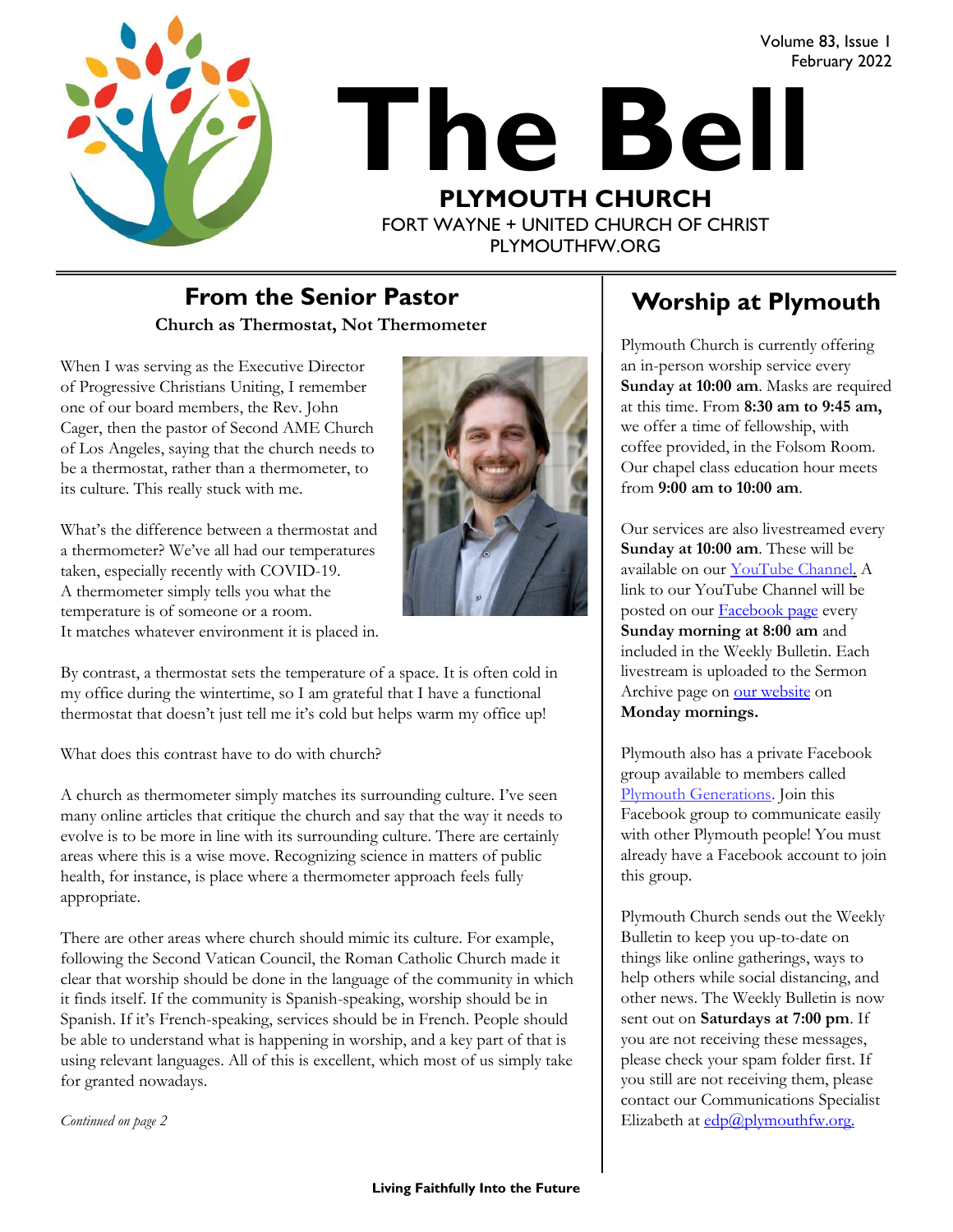

# **The Bell PLYMOUTH CHURCH** FORT WAYNE + UNITED CHURCH OF CHRIST February 2022

PLYMOUTHFW.ORG

#### **Church as Thermostat, Not Thermometer** From the Senior Pastor **Now Alle Worship at Plymouth**

When I was serving as the Executive Director of Progressive Christians Uniting, I remember one of our board members, the Rev. John Cager, then the pastor of Second AME Church of Los Angeles, saying that the church needs to be a thermostat, rather than a thermometer, to its culture. This really stuck with me.

What's the difference between a thermostat and a thermometer? We've all had our temperatures taken, especially recently with COVID-19. A thermometer simply tells you what the temperature is of someone or a room. It matches whatever environment it is placed in.



By contrast, a thermostat sets the temperature of a space. It is often cold in my office during the wintertime, so I am grateful that I have a functional thermostat that doesn't just tell me it's cold but helps warm my office up!

What does this contrast have to do with church?

A church as thermometer simply matches its surrounding culture. I've seen many online articles that critique the church and say that the way it needs to evolve is to be more in line with its surrounding culture. There are certainly areas where this is a wise move. Recognizing science in matters of public health, for instance, is place where a thermometer approach feels fully appropriate.

There are other areas where church should mimic its culture. For example, following the Second Vatican Council, the Roman Catholic Church made it clear that worship should be done in the language of the community in which it finds itself. If the community is Spanish-speaking, worship should be in Spanish. If it's French-speaking, services should be in French. People should be able to understand what is happening in worship, and a key part of that is using relevant languages. All of this is excellent, which most of us simply take for granted nowadays.

*Continued on page 2*

Volume 83, Issue 1

Plymouth Church is currently offering an in-person worship service every **Sunday at 10:00 am**. Masks are required at this time. From **8:30 am to 9:45 am,**  we offer a time of fellowship, with coffee provided, in the Folsom Room. Our chapel class education hour meets from **9:00 am to 10:00 am**.

Our services are also livestreamed every **Sunday at 10:00 am**. These will be available on our [YouTube Channel.](https://www.youtube.com/plymouthchurchfw) A link to our YouTube Channel will be posted on our **Facebook** page every **Sunday morning at 8:00 am** and included in the Weekly Bulletin. Each livestream is uploaded to the Sermon Archive page on [our website](https://www.plymouthfw.org/sermon-archive) on **Monday mornings.** 

Plymouth also has a private Facebook group available to members called [Plymouth Generations.](https://www.facebook.com/groups/1487066224952817/) Join this Facebook group to communicate easily with other Plymouth people! You must already have a Facebook account to join this group.

Plymouth Church sends out the Weekly Bulletin to keep you up-to-date on things like online gatherings, ways to help others while social distancing, and other news. The Weekly Bulletin is now sent out on **Saturdays at 7:00 pm**. If you are not receiving these messages, please check your spam folder first. If you still are not receiving them, please contact our Communications Specialist Elizabeth at  $edp@plymouthfw.org$ .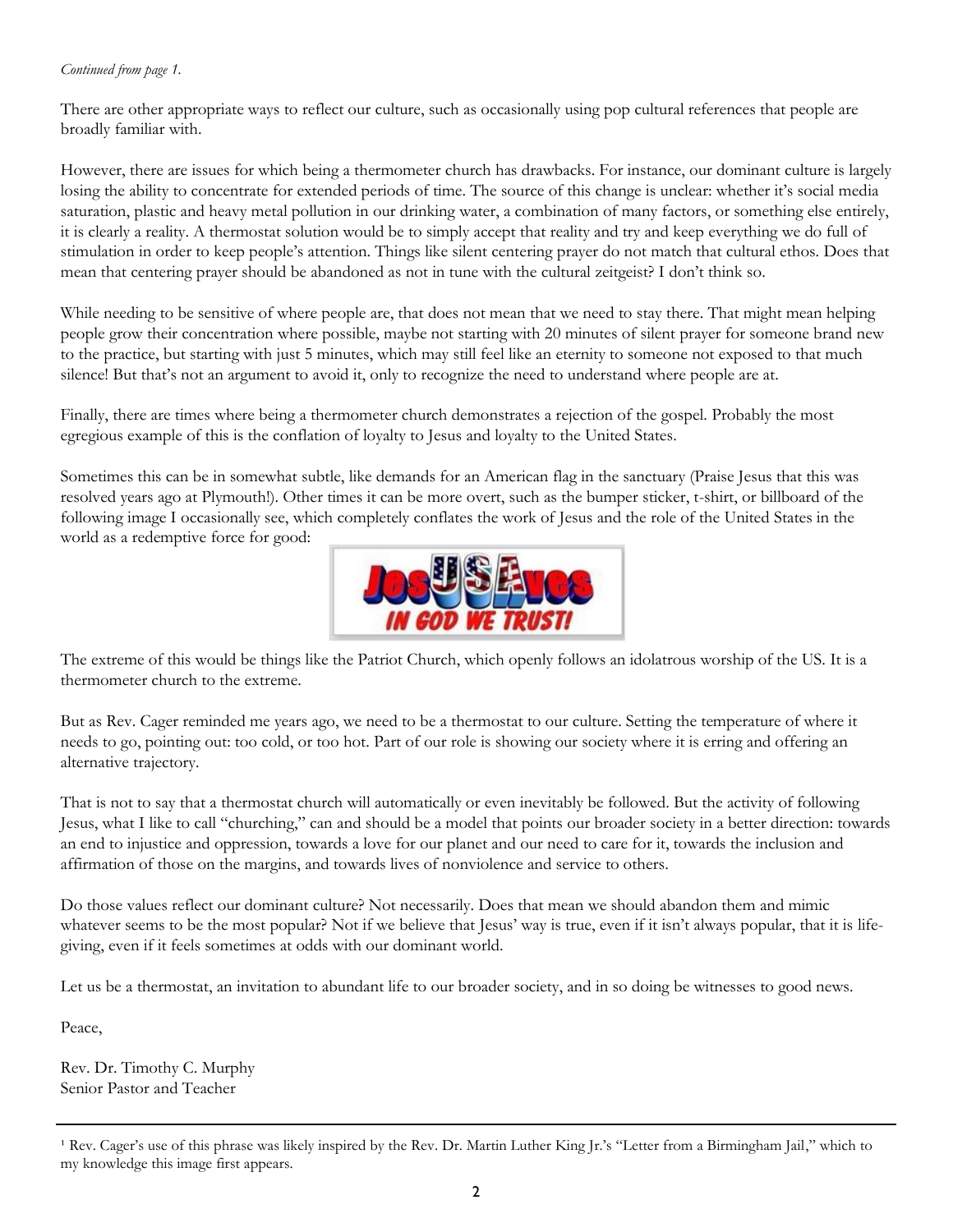#### *Continued from page 1.*

There are other appropriate ways to reflect our culture, such as occasionally using pop cultural references that people are broadly familiar with.

However, there are issues for which being a thermometer church has drawbacks. For instance, our dominant culture is largely losing the ability to concentrate for extended periods of time. The source of this change is unclear: whether it's social media saturation, plastic and heavy metal pollution in our drinking water, a combination of many factors, or something else entirely, it is clearly a reality. A thermostat solution would be to simply accept that reality and try and keep everything we do full of stimulation in order to keep people's attention. Things like silent centering prayer do not match that cultural ethos. Does that mean that centering prayer should be abandoned as not in tune with the cultural zeitgeist? I don't think so.

While needing to be sensitive of where people are, that does not mean that we need to stay there. That might mean helping people grow their concentration where possible, maybe not starting with 20 minutes of silent prayer for someone brand new to the practice, but starting with just 5 minutes, which may still feel like an eternity to someone not exposed to that much silence! But that's not an argument to avoid it, only to recognize the need to understand where people are at.

Finally, there are times where being a thermometer church demonstrates a rejection of the gospel. Probably the most egregious example of this is the conflation of loyalty to Jesus and loyalty to the United States.

Sometimes this can be in somewhat subtle, like demands for an American flag in the sanctuary (Praise Jesus that this was resolved years ago at Plymouth!). Other times it can be more overt, such as the bumper sticker, t-shirt, or billboard of the following image I occasionally see, which completely conflates the work of Jesus and the role of the United States in the world as a redemptive force for good:



The extreme of this would be things like the Patriot Church, which openly follows an idolatrous worship of the US. It is a thermometer church to the extreme.

But as Rev. Cager reminded me years ago, we need to be a thermostat to our culture. Setting the temperature of where it needs to go, pointing out: too cold, or too hot. Part of our role is showing our society where it is erring and offering an alternative trajectory.

That is not to say that a thermostat church will automatically or even inevitably be followed. But the activity of following Jesus, what I like to call "churching," can and should be a model that points our broader society in a better direction: towards an end to injustice and oppression, towards a love for our planet and our need to care for it, towards the inclusion and affirmation of those on the margins, and towards lives of nonviolence and service to others.

Do those values reflect our dominant culture? Not necessarily. Does that mean we should abandon them and mimic whatever seems to be the most popular? Not if we believe that Jesus' way is true, even if it isn't always popular, that it is lifegiving, even if it feels sometimes at odds with our dominant world.

Let us be a thermostat, an invitation to abundant life to our broader society, and in so doing be witnesses to good news.

Peace,

Rev. Dr. Timothy C. Murphy Senior Pastor and Teacher

<sup>&</sup>lt;sup>1</sup> Rev. Cager's use of this phrase was likely inspired by the Rev. Dr. Martin Luther King Jr.'s "Letter from a Birmingham Jail," which to my knowledge this image first appears.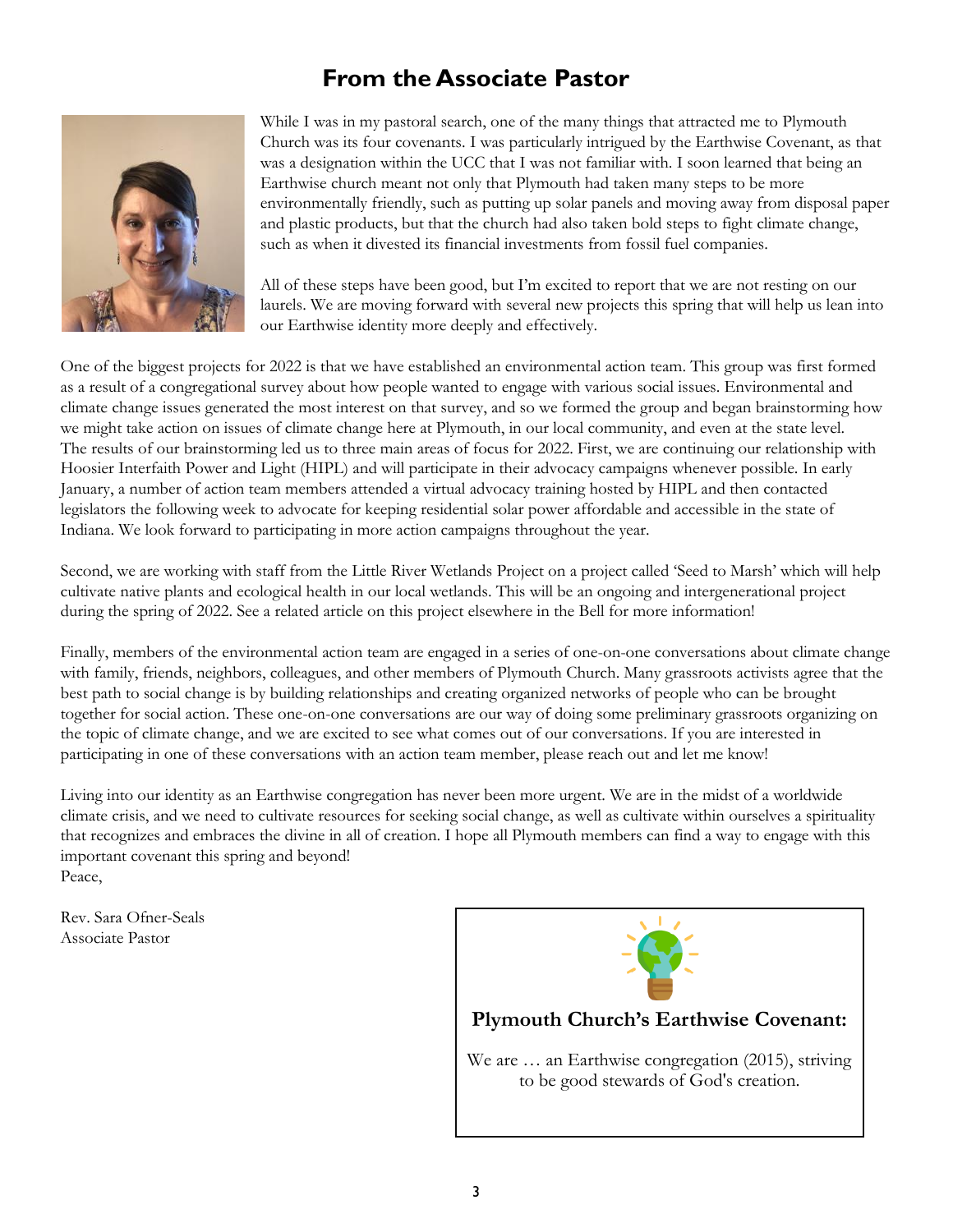### **From the Associate Pastor**



While I was in my pastoral search, one of the many things that attracted me to Plymouth Church was its four covenants. I was particularly intrigued by the Earthwise Covenant, as that was a designation within the UCC that I was not familiar with. I soon learned that being an Earthwise church meant not only that Plymouth had taken many steps to be more environmentally friendly, such as putting up solar panels and moving away from disposal paper and plastic products, but that the church had also taken bold steps to fight climate change, such as when it divested its financial investments from fossil fuel companies.

All of these steps have been good, but I'm excited to report that we are not resting on our laurels. We are moving forward with several new projects this spring that will help us lean into our Earthwise identity more deeply and effectively.

One of the biggest projects for 2022 is that we have established an environmental action team. This group was first formed as a result of a congregational survey about how people wanted to engage with various social issues. Environmental and climate change issues generated the most interest on that survey, and so we formed the group and began brainstorming how we might take action on issues of climate change here at Plymouth, in our local community, and even at the state level. The results of our brainstorming led us to three main areas of focus for 2022. First, we are continuing our relationship with Hoosier Interfaith Power and Light (HIPL) and will participate in their advocacy campaigns whenever possible. In early January, a number of action team members attended a virtual advocacy training hosted by HIPL and then contacted legislators the following week to advocate for keeping residential solar power affordable and accessible in the state of Indiana. We look forward to participating in more action campaigns throughout the year.

Second, we are working with staff from the Little River Wetlands Project on a project called 'Seed to Marsh' which will help cultivate native plants and ecological health in our local wetlands. This will be an ongoing and intergenerational project during the spring of 2022. See a related article on this project elsewhere in the Bell for more information!

Finally, members of the environmental action team are engaged in a series of one-on-one conversations about climate change with family, friends, neighbors, colleagues, and other members of Plymouth Church. Many grassroots activists agree that the best path to social change is by building relationships and creating organized networks of people who can be brought together for social action. These one-on-one conversations are our way of doing some preliminary grassroots organizing on the topic of climate change, and we are excited to see what comes out of our conversations. If you are interested in participating in one of these conversations with an action team member, please reach out and let me know!

Living into our identity as an Earthwise congregation has never been more urgent. We are in the midst of a worldwide climate crisis, and we need to cultivate resources for seeking social change, as well as cultivate within ourselves a spirituality that recognizes and embraces the divine in all of creation. I hope all Plymouth members can find a way to engage with this important covenant this spring and beyond! Peace,

Rev. Sara Ofner-Seals Associate Pastor

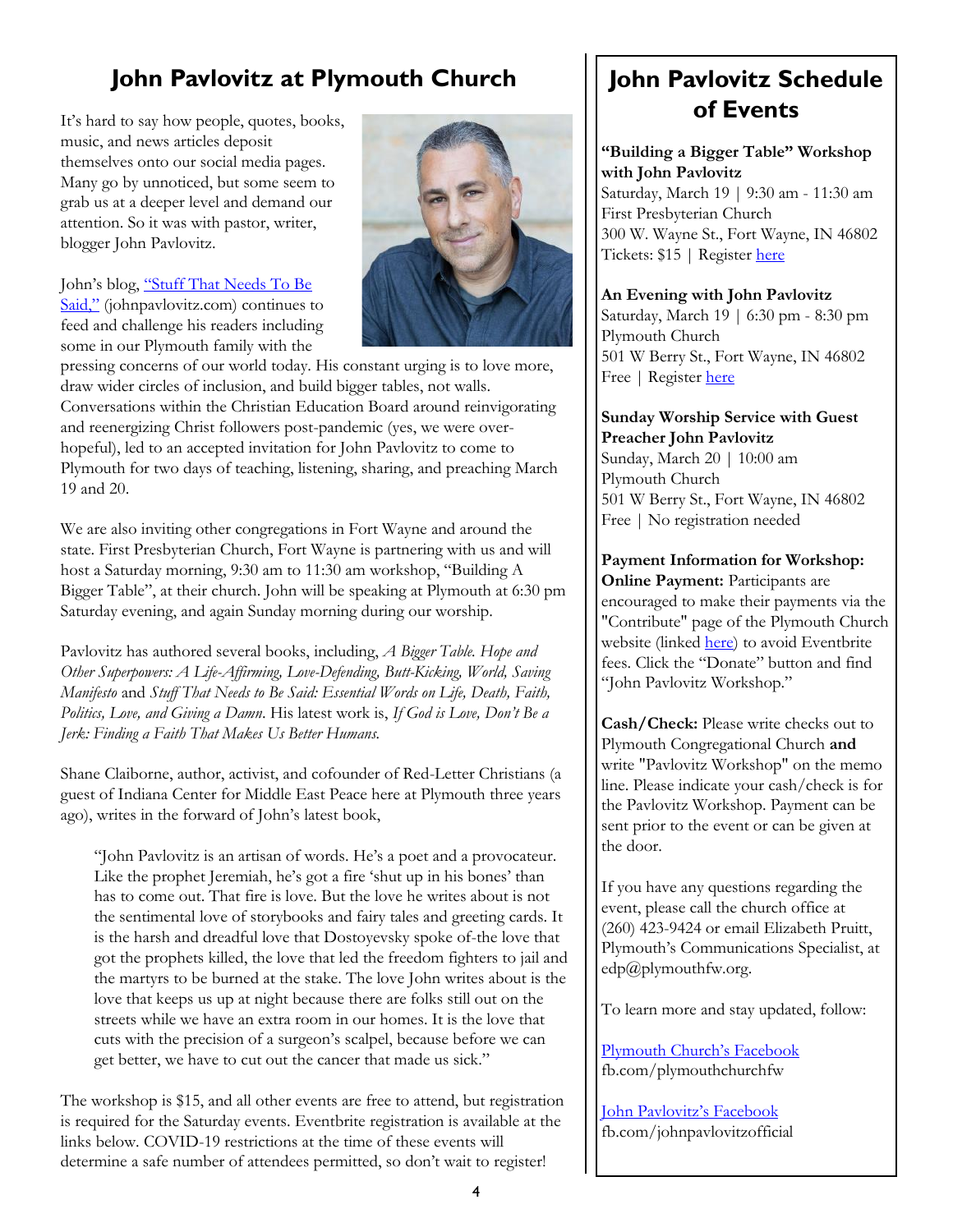### **John Pavlovitz at Plymouth Church**

It's hard to say how people, quotes, books, music, and news articles deposit themselves onto our social media pages. Many go by unnoticed, but some seem to grab us at a deeper level and demand our attention. So it was with pastor, writer, blogger John Pavlovitz.



#### John's blog, ["Stuff That Needs To Be](https://johnpavlovitz.com/)  [Said,"](https://johnpavlovitz.com/) (johnpavlovitz.com) continues to feed and challenge his readers including some in our Plymouth family with the

pressing concerns of our world today. His constant urging is to love more, draw wider circles of inclusion, and build bigger tables, not walls. Conversations within the Christian Education Board around reinvigorating and reenergizing Christ followers post-pandemic (yes, we were overhopeful), led to an accepted invitation for John Pavlovitz to come to Plymouth for two days of teaching, listening, sharing, and preaching March 19 and 20.

We are also inviting other congregations in Fort Wayne and around the state. First Presbyterian Church, Fort Wayne is partnering with us and will host a Saturday morning, 9:30 am to 11:30 am workshop, "Building A Bigger Table", at their church. John will be speaking at Plymouth at 6:30 pm Saturday evening, and again Sunday morning during our worship.

Pavlovitz has authored several books, including, *A Bigger Table. Hope and Other Superpowers: A Life-Affirming, Love-Defending, Butt-Kicking, World, Saving Manifesto* and *Stuff That Needs to Be Said: Essential Words on Life, Death, Faith, Politics, Love, and Giving a Damn*. His latest work is, *If God is Love, Don't Be a Jerk: Finding a Faith That Makes Us Better Humans.*

Shane Claiborne, author, activist, and cofounder of Red-Letter Christians (a guest of Indiana Center for Middle East Peace here at Plymouth three years ago), writes in the forward of John's latest book,

"John Pavlovitz is an artisan of words. He's a poet and a provocateur. Like the prophet Jeremiah, he's got a fire 'shut up in his bones' than has to come out. That fire is love. But the love he writes about is not the sentimental love of storybooks and fairy tales and greeting cards. It is the harsh and dreadful love that Dostoyevsky spoke of-the love that got the prophets killed, the love that led the freedom fighters to jail and the martyrs to be burned at the stake. The love John writes about is the love that keeps us up at night because there are folks still out on the streets while we have an extra room in our homes. It is the love that cuts with the precision of a surgeon's scalpel, because before we can get better, we have to cut out the cancer that made us sick."

The workshop is \$15, and all other events are free to attend, but registration is required for the Saturday events. Eventbrite registration is available at the links below. COVID-19 restrictions at the time of these events will determine a safe number of attendees permitted, so don't wait to register!

### **John Pavlovitz Schedule of Events**

#### **"Building a Bigger Table" Workshop with John Pavlovitz**

Saturday, March 19 | 9:30 am - 11:30 am First Presbyterian Church 300 W. Wayne St., Fort Wayne, IN 46802 Tickets: \$15 | Register [here](https://www.eventbrite.com/e/building-a-bigger-table-a-workshop-with-john-pavlovitz-tickets-239150494567?aff=ebdsoporgprofile)

#### **An Evening with John Pavlovitz**

Saturday, March 19 | 6:30 pm - 8:30 pm Plymouth Church 501 W Berry St., Fort Wayne, IN 46802 Free | Register [here](https://www.eventbrite.com/e/an-evening-with-john-pavlovitz-tickets-260351587607)

#### **Sunday Worship Service with Guest Preacher John Pavlovitz** Sunday, March 20 | 10:00 am Plymouth Church 501 W Berry St., Fort Wayne, IN 46802 Free | No registration needed

**Payment Information for Workshop: Online Payment:** Participants are encouraged to make their payments via the "Contribute" page of the Plymouth Church website (linked [here\)](https://www.plymouthfw.org/donate) to avoid Eventbrite fees. Click the "Donate" button and find "John Pavlovitz Workshop."

**Cash/Check:** Please write checks out to Plymouth Congregational Church **and**  write "Pavlovitz Workshop" on the memo line. Please indicate your cash/check is for the Pavlovitz Workshop. Payment can be sent prior to the event or can be given at the door.

If you have any questions regarding the event, please call the church office at (260) 423-9424 or email Elizabeth Pruitt, Plymouth's Communications Specialist, at edp@plymouthfw.org.

To learn more and stay updated, follow:

[Plymouth Church's Facebook](https://www.facebook.com/plymouthchurchfw) fb.com/plymouthchurchfw

[John Pavlovitz's Facebook](https://www.facebook.com/johnpavlovitzofficial) fb.com/johnpavlovitzofficial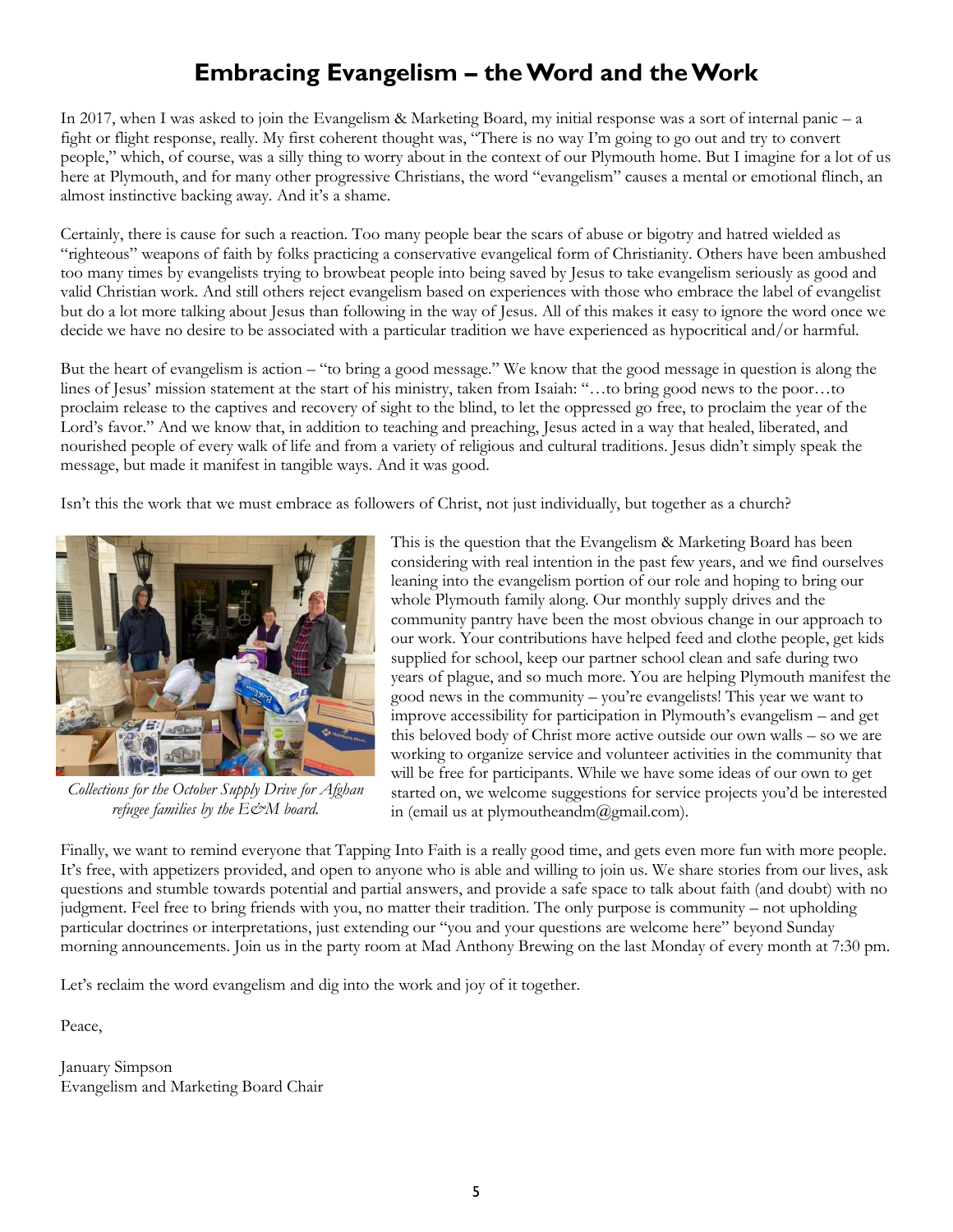### **Embracing Evangelism – the Word and the Work**

In 2017, when I was asked to join the Evangelism & Marketing Board, my initial response was a sort of internal panic – a fight or flight response, really. My first coherent thought was, "There is no way I'm going to go out and try to convert people," which, of course, was a silly thing to worry about in the context of our Plymouth home. But I imagine for a lot of us here at Plymouth, and for many other progressive Christians, the word "evangelism" causes a mental or emotional flinch, an almost instinctive backing away. And it's a shame.

Certainly, there is cause for such a reaction. Too many people bear the scars of abuse or bigotry and hatred wielded as "righteous" weapons of faith by folks practicing a conservative evangelical form of Christianity. Others have been ambushed too many times by evangelists trying to browbeat people into being saved by Jesus to take evangelism seriously as good and valid Christian work. And still others reject evangelism based on experiences with those who embrace the label of evangelist but do a lot more talking about Jesus than following in the way of Jesus. All of this makes it easy to ignore the word once we decide we have no desire to be associated with a particular tradition we have experienced as hypocritical and/or harmful.

But the heart of evangelism is action – "to bring a good message." We know that the good message in question is along the lines of Jesus' mission statement at the start of his ministry, taken from Isaiah: "…to bring good news to the poor…to proclaim release to the captives and recovery of sight to the blind, to let the oppressed go free, to proclaim the year of the Lord's favor." And we know that, in addition to teaching and preaching, Jesus acted in a way that healed, liberated, and nourished people of every walk of life and from a variety of religious and cultural traditions. Jesus didn't simply speak the message, but made it manifest in tangible ways. And it was good.

Isn't this the work that we must embrace as followers of Christ, not just individually, but together as a church?



*Collections for the October Supply Drive for Afghan refugee families by the E&M board.*

This is the question that the Evangelism & Marketing Board has been considering with real intention in the past few years, and we find ourselves leaning into the evangelism portion of our role and hoping to bring our whole Plymouth family along. Our monthly supply drives and the community pantry have been the most obvious change in our approach to our work. Your contributions have helped feed and clothe people, get kids supplied for school, keep our partner school clean and safe during two years of plague, and so much more. You are helping Plymouth manifest the good news in the community – you're evangelists! This year we want to improve accessibility for participation in Plymouth's evangelism – and get this beloved body of Christ more active outside our own walls – so we are working to organize service and volunteer activities in the community that will be free for participants. While we have some ideas of our own to get started on, we welcome suggestions for service projects you'd be interested in (email us at plymoutheandm $(\widehat{\boldsymbol{a}})$ gmail.com).

Finally, we want to remind everyone that Tapping Into Faith is a really good time, and gets even more fun with more people. It's free, with appetizers provided, and open to anyone who is able and willing to join us. We share stories from our lives, ask questions and stumble towards potential and partial answers, and provide a safe space to talk about faith (and doubt) with no judgment. Feel free to bring friends with you, no matter their tradition. The only purpose is community – not upholding particular doctrines or interpretations, just extending our "you and your questions are welcome here" beyond Sunday morning announcements. Join us in the party room at Mad Anthony Brewing on the last Monday of every month at 7:30 pm.

Let's reclaim the word evangelism and dig into the work and joy of it together.

Peace,

January Simpson Evangelism and Marketing Board Chair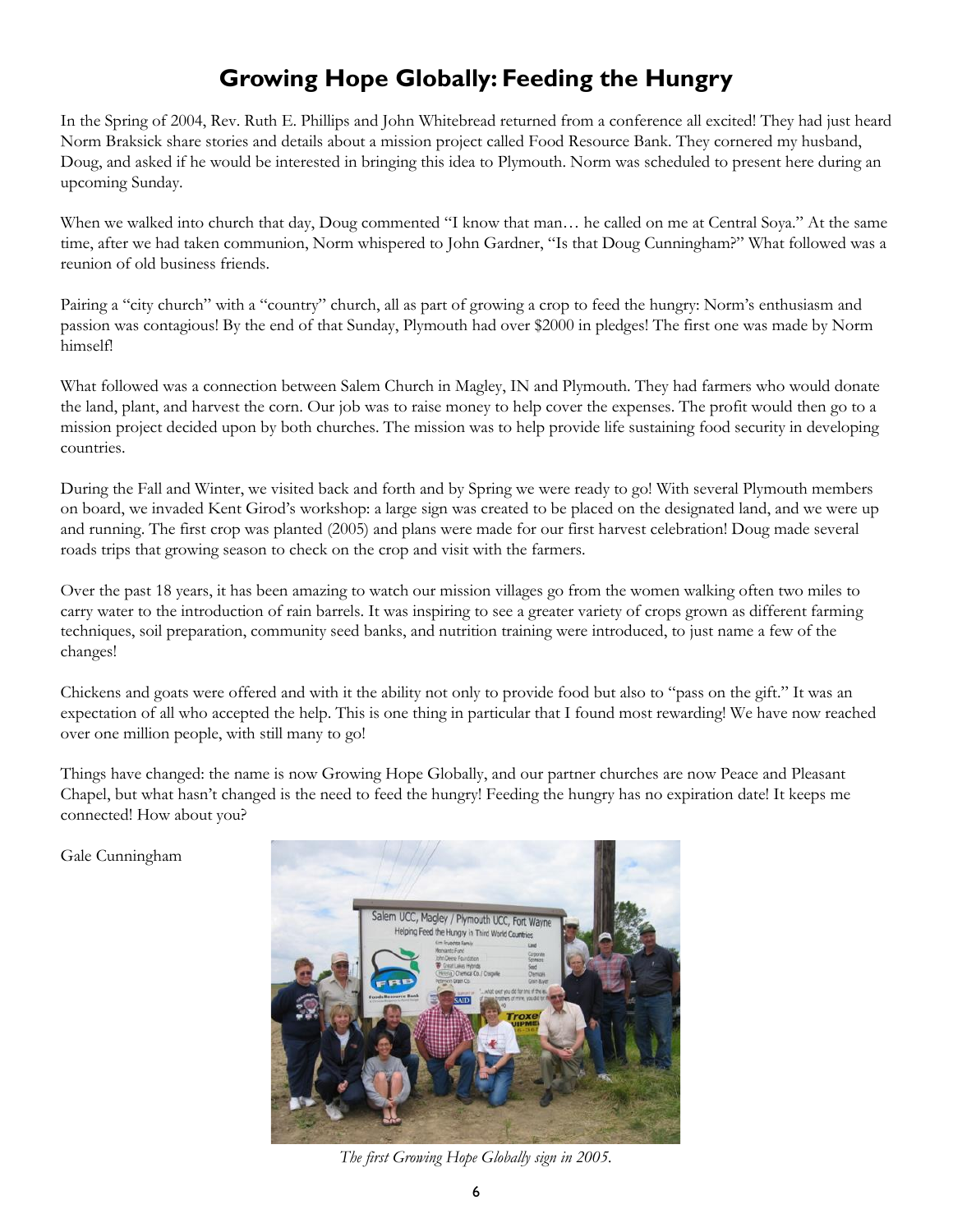### **Growing Hope Globally: Feeding the Hungry**

In the Spring of 2004, Rev. Ruth E. Phillips and John Whitebread returned from a conference all excited! They had just heard Norm Braksick share stories and details about a mission project called Food Resource Bank. They cornered my husband, Doug, and asked if he would be interested in bringing this idea to Plymouth. Norm was scheduled to present here during an upcoming Sunday.

When we walked into church that day, Doug commented "I know that man… he called on me at Central Soya." At the same time, after we had taken communion, Norm whispered to John Gardner, "Is that Doug Cunningham?" What followed was a reunion of old business friends.

Pairing a "city church" with a "country" church, all as part of growing a crop to feed the hungry: Norm's enthusiasm and passion was contagious! By the end of that Sunday, Plymouth had over \$2000 in pledges! The first one was made by Norm himself!

What followed was a connection between Salem Church in Magley, IN and Plymouth. They had farmers who would donate the land, plant, and harvest the corn. Our job was to raise money to help cover the expenses. The profit would then go to a mission project decided upon by both churches. The mission was to help provide life sustaining food security in developing countries.

During the Fall and Winter, we visited back and forth and by Spring we were ready to go! With several Plymouth members on board, we invaded Kent Girod's workshop: a large sign was created to be placed on the designated land, and we were up and running. The first crop was planted (2005) and plans were made for our first harvest celebration! Doug made several roads trips that growing season to check on the crop and visit with the farmers.

Over the past 18 years, it has been amazing to watch our mission villages go from the women walking often two miles to carry water to the introduction of rain barrels. It was inspiring to see a greater variety of crops grown as different farming techniques, soil preparation, community seed banks, and nutrition training were introduced, to just name a few of the changes!

Chickens and goats were offered and with it the ability not only to provide food but also to "pass on the gift." It was an expectation of all who accepted the help. This is one thing in particular that I found most rewarding! We have now reached over one million people, with still many to go!

Things have changed: the name is now Growing Hope Globally, and our partner churches are now Peace and Pleasant Chapel, but what hasn't changed is the need to feed the hungry! Feeding the hungry has no expiration date! It keeps me connected! How about you?

Gale Cunningham



*The first Growing Hope Globally sign in 2005.*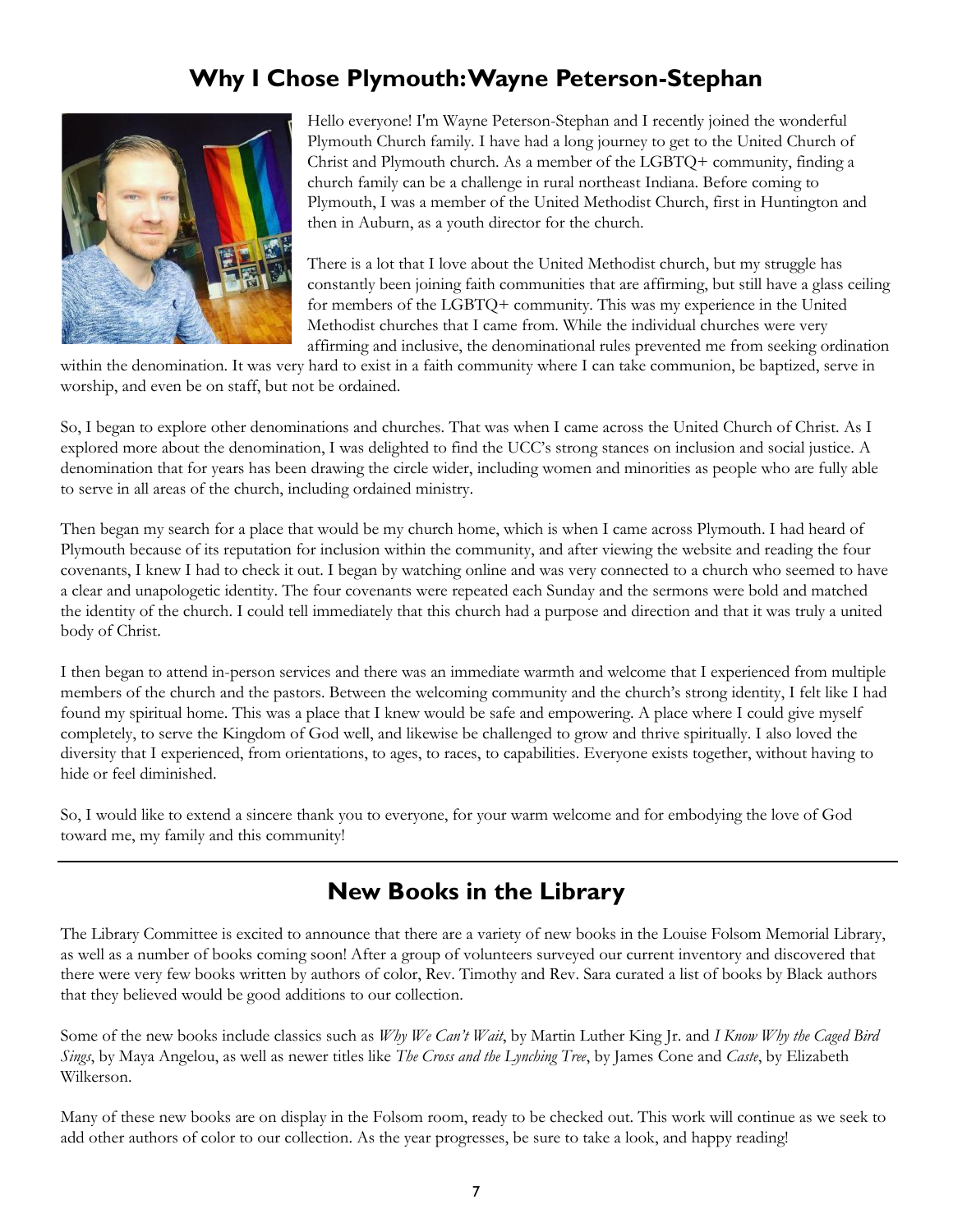### **Why I Chose Plymouth: Wayne Peterson-Stephan**



Hello everyone! I'm Wayne Peterson-Stephan and I recently joined the wonderful Plymouth Church family. I have had a long journey to get to the United Church of Christ and Plymouth church. As a member of the LGBTQ+ community, finding a church family can be a challenge in rural northeast Indiana. Before coming to Plymouth, I was a member of the United Methodist Church, first in Huntington and then in Auburn, as a youth director for the church.

There is a lot that I love about the United Methodist church, but my struggle has constantly been joining faith communities that are affirming, but still have a glass ceiling for members of the LGBTQ+ community. This was my experience in the United Methodist churches that I came from. While the individual churches were very affirming and inclusive, the denominational rules prevented me from seeking ordination

within the denomination. It was very hard to exist in a faith community where I can take communion, be baptized, serve in worship, and even be on staff, but not be ordained.

So, I began to explore other denominations and churches. That was when I came across the United Church of Christ. As I explored more about the denomination, I was delighted to find the UCC's strong stances on inclusion and social justice. A denomination that for years has been drawing the circle wider, including women and minorities as people who are fully able to serve in all areas of the church, including ordained ministry.

Then began my search for a place that would be my church home, which is when I came across Plymouth. I had heard of Plymouth because of its reputation for inclusion within the community, and after viewing the website and reading the four covenants, I knew I had to check it out. I began by watching online and was very connected to a church who seemed to have a clear and unapologetic identity. The four covenants were repeated each Sunday and the sermons were bold and matched the identity of the church. I could tell immediately that this church had a purpose and direction and that it was truly a united body of Christ.

I then began to attend in-person services and there was an immediate warmth and welcome that I experienced from multiple members of the church and the pastors. Between the welcoming community and the church's strong identity, I felt like I had found my spiritual home. This was a place that I knew would be safe and empowering. A place where I could give myself completely, to serve the Kingdom of God well, and likewise be challenged to grow and thrive spiritually. I also loved the diversity that I experienced, from orientations, to ages, to races, to capabilities. Everyone exists together, without having to hide or feel diminished.

So, I would like to extend a sincere thank you to everyone, for your warm welcome and for embodying the love of God toward me, my family and this community!

### **New Books in the Library**

The Library Committee is excited to announce that there are a variety of new books in the Louise Folsom Memorial Library, as well as a number of books coming soon! After a group of volunteers surveyed our current inventory and discovered that there were very few books written by authors of color, Rev. Timothy and Rev. Sara curated a list of books by Black authors that they believed would be good additions to our collection.

Some of the new books include classics such as *Why We Can't Wait*, by Martin Luther King Jr. and *I Know Why the Caged Bird Sings*, by Maya Angelou, as well as newer titles like *The Cross and the Lynching Tree*, by James Cone and *Caste*, by Elizabeth Wilkerson.

Many of these new books are on display in the Folsom room, ready to be checked out. This work will continue as we seek to add other authors of color to our collection. As the year progresses, be sure to take a look, and happy reading!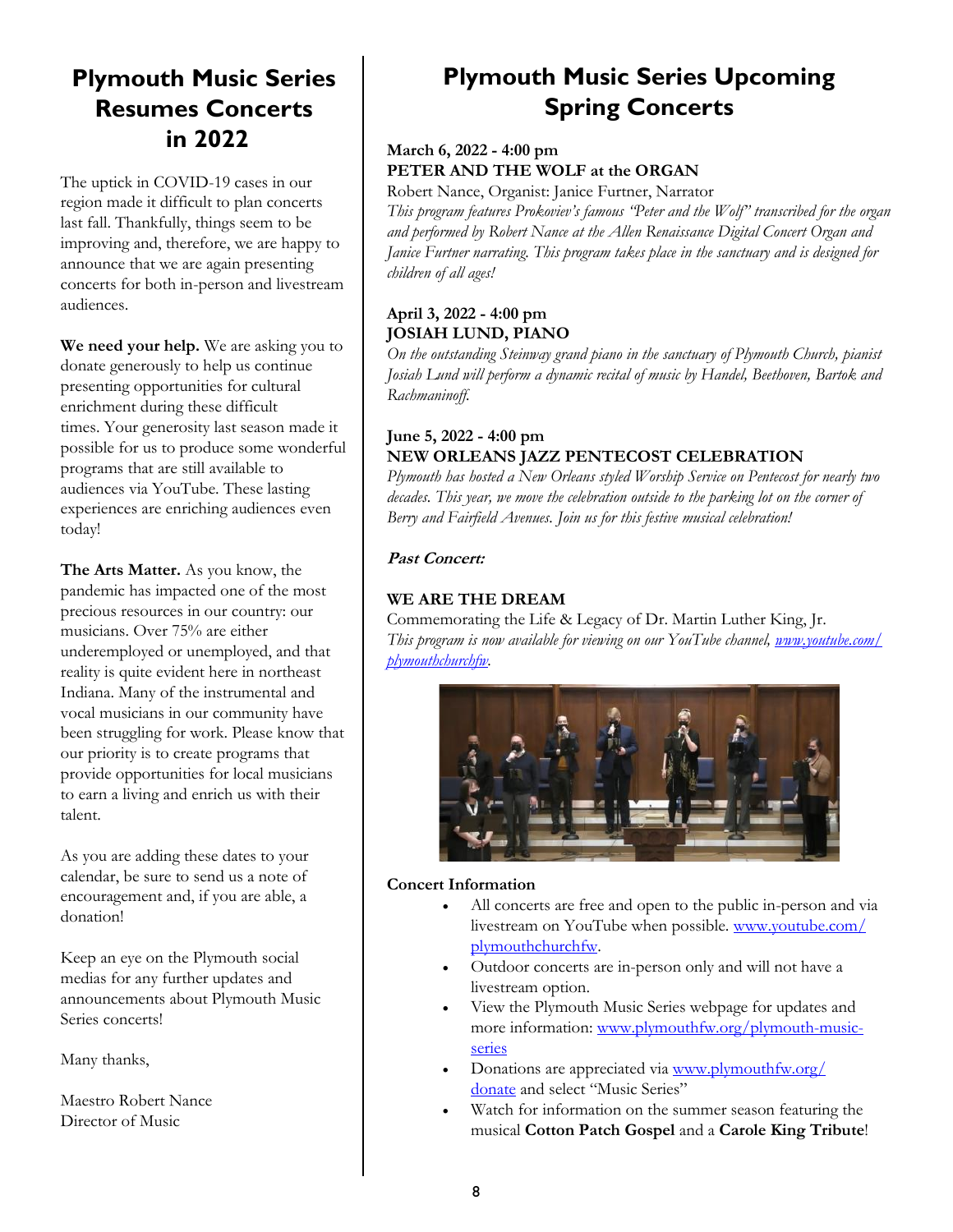### **Plymouth Music Series Resumes Concerts in 2022**

The uptick in COVID-19 cases in our region made it difficult to plan concerts last fall. Thankfully, things seem to be improving and, therefore, we are happy to announce that we are again presenting concerts for both in-person and livestream audiences.

**We need your help.** We are asking you to donate generously to help us continue presenting opportunities for cultural enrichment during these difficult times. Your generosity last season made it possible for us to produce some wonderful programs that are still available to audiences via YouTube. These lasting experiences are enriching audiences even today!

**The Arts Matter.** As you know, the pandemic has impacted one of the most precious resources in our country: our musicians. Over 75% are either underemployed or unemployed, and that reality is quite evident here in northeast Indiana. Many of the instrumental and vocal musicians in our community have been struggling for work. Please know that our priority is to create programs that provide opportunities for local musicians to earn a living and enrich us with their talent.

As you are adding these dates to your calendar, be sure to send us a note of encouragement and, if you are able, a donation!

Keep an eye on the Plymouth social medias for any further updates and announcements about Plymouth Music Series concerts!

Many thanks,

Maestro Robert Nance Director of Music

### **Plymouth Music Series Upcoming Spring Concerts**

#### **March 6, 2022 - 4:00 pm PETER AND THE WOLF at the ORGAN**

Robert Nance, Organist: Janice Furtner, Narrator

*This program features Prokoviev's famous "Peter and the Wolf" transcribed for the organ and performed by Robert Nance at the Allen Renaissance Digital Concert Organ and Janice Furtner narrating. This program takes place in the sanctuary and is designed for children of all ages!*

#### **April 3, 2022 - 4:00 pm JOSIAH LUND, PIANO**

*On the outstanding Steinway grand piano in the sanctuary of Plymouth Church, pianist Josiah Lund will perform a dynamic recital of music by Handel, Beethoven, Bartok and Rachmaninoff.*

#### **June 5, 2022 - 4:00 pm NEW ORLEANS JAZZ PENTECOST CELEBRATION**

*Plymouth has hosted a New Orleans styled Worship Service on Pentecost for nearly two decades. This year, we move the celebration outside to the parking lot on the corner of Berry and Fairfield Avenues. Join us for this festive musical celebration!*

#### **Past Concert:**

#### **WE ARE THE DREAM**

Commemorating the Life & Legacy of Dr. Martin Luther King, Jr. *This program is now available for viewing on our YouTube channel, [www.youtube.com/](http://www.youtube.com/plymouthchurchfw) [plymouthchurchfw.](http://www.youtube.com/plymouthchurchfw)*



#### **Concert Information**

- All concerts are free and open to the public in-person and via livestream on YouTube when possible. [www.youtube.com/](http://www.youtube.com/plymouthchurchfw) [plymouthchurchfw.](http://www.youtube.com/plymouthchurchfw)
- Outdoor concerts are in-person only and will not have a livestream option.
- View the Plymouth Music Series webpage for updates and more information: [www.plymouthfw.org/plymouth-music](https://www.plymouthfw.org/plymouth-music-series)[series](https://www.plymouthfw.org/plymouth-music-series)
- Donations are appreciated via [www.plymouthfw.org/](http://www.plymouthfw.org/donate) [donate](http://www.plymouthfw.org/donate) and select "Music Series"
- Watch for information on the summer season featuring the musical **Cotton Patch Gospel** and a **Carole King Tribute**!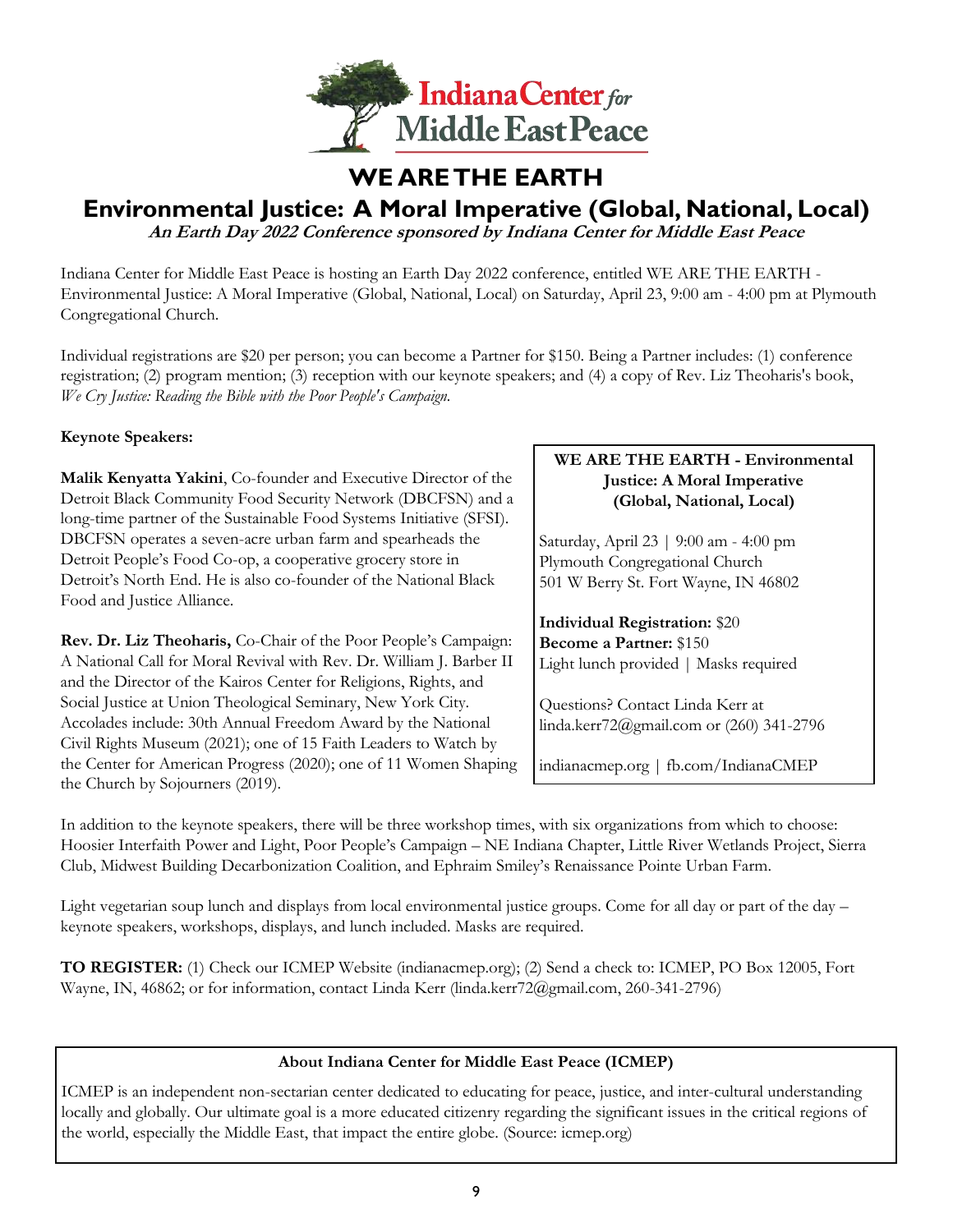

### **WE ARE THE EARTH**

### **Environmental Justice: A Moral Imperative (Global, National, Local)**

**An Earth Day 2022 Conference sponsored by Indiana Center for Middle East Peace** 

Indiana Center for Middle East Peace is hosting an Earth Day 2022 conference, entitled WE ARE THE EARTH - Environmental Justice: A Moral Imperative (Global, National, Local) on Saturday, April 23, 9:00 am - 4:00 pm at Plymouth Congregational Church.

Individual registrations are \$20 per person; you can become a Partner for \$150. Being a Partner includes: (1) conference registration; (2) program mention; (3) reception with our keynote speakers; and (4) a copy of Rev. Liz Theoharis's book, *We Cry Justice: Reading the Bible with the Poor People's Campaign.*

#### **Keynote Speakers:**

**Malik Kenyatta Yakini**, Co-founder and Executive Director of the Detroit Black Community Food Security Network (DBCFSN) and a long-time partner of the Sustainable Food Systems Initiative (SFSI). DBCFSN operates a seven-acre urban farm and spearheads the Detroit People's Food Co-op, a cooperative grocery store in Detroit's North End. He is also co-founder of the National Black Food and Justice Alliance.

**Rev. Dr. Liz Theoharis,** Co-Chair of the Poor People's Campaign: A National Call for Moral Revival with Rev. Dr. William J. Barber II and the Director of the Kairos Center for Religions, Rights, and Social Justice at Union Theological Seminary, New York City. Accolades include: 30th Annual Freedom Award by the National Civil Rights Museum (2021); one of 15 Faith Leaders to Watch by the Center for American Progress (2020); one of 11 Women Shaping the Church by Sojourners (2019).

#### **WE ARE THE EARTH - Environmental Justice: A Moral Imperative (Global, National, Local)**

Saturday, April 23 | 9:00 am - 4:00 pm Plymouth Congregational Church 501 W Berry St. Fort Wayne, IN 46802

**Individual Registration:** \$20 **Become a Partner:** \$150 Light lunch provided | Masks required

Questions? Contact Linda Kerr at linda.kerr72@gmail.com or (260) 341-2796

indianacmep.org | fb.com/IndianaCMEP

In addition to the keynote speakers, there will be three workshop times, with six organizations from which to choose: Hoosier Interfaith Power and Light, Poor People's Campaign – NE Indiana Chapter, Little River Wetlands Project, Sierra Club, Midwest Building Decarbonization Coalition, and Ephraim Smiley's Renaissance Pointe Urban Farm.

Light vegetarian soup lunch and displays from local environmental justice groups. Come for all day or part of the day – keynote speakers, workshops, displays, and lunch included. Masks are required.

**TO REGISTER:** (1) Check our ICMEP Website (indianacmep.org); (2) Send a check to: ICMEP, PO Box 12005, Fort Wayne, IN, 46862; or for information, contact Linda Kerr (linda.kerr72@gmail.com, 260-341-2796)

#### **About Indiana Center for Middle East Peace (ICMEP)**

ICMEP is an independent non-sectarian center dedicated to educating for peace, justice, and inter-cultural understanding locally and globally. Our ultimate goal is a more educated citizenry regarding the significant issues in the critical regions of the world, especially the Middle East, that impact the entire globe. (Source: icmep.org)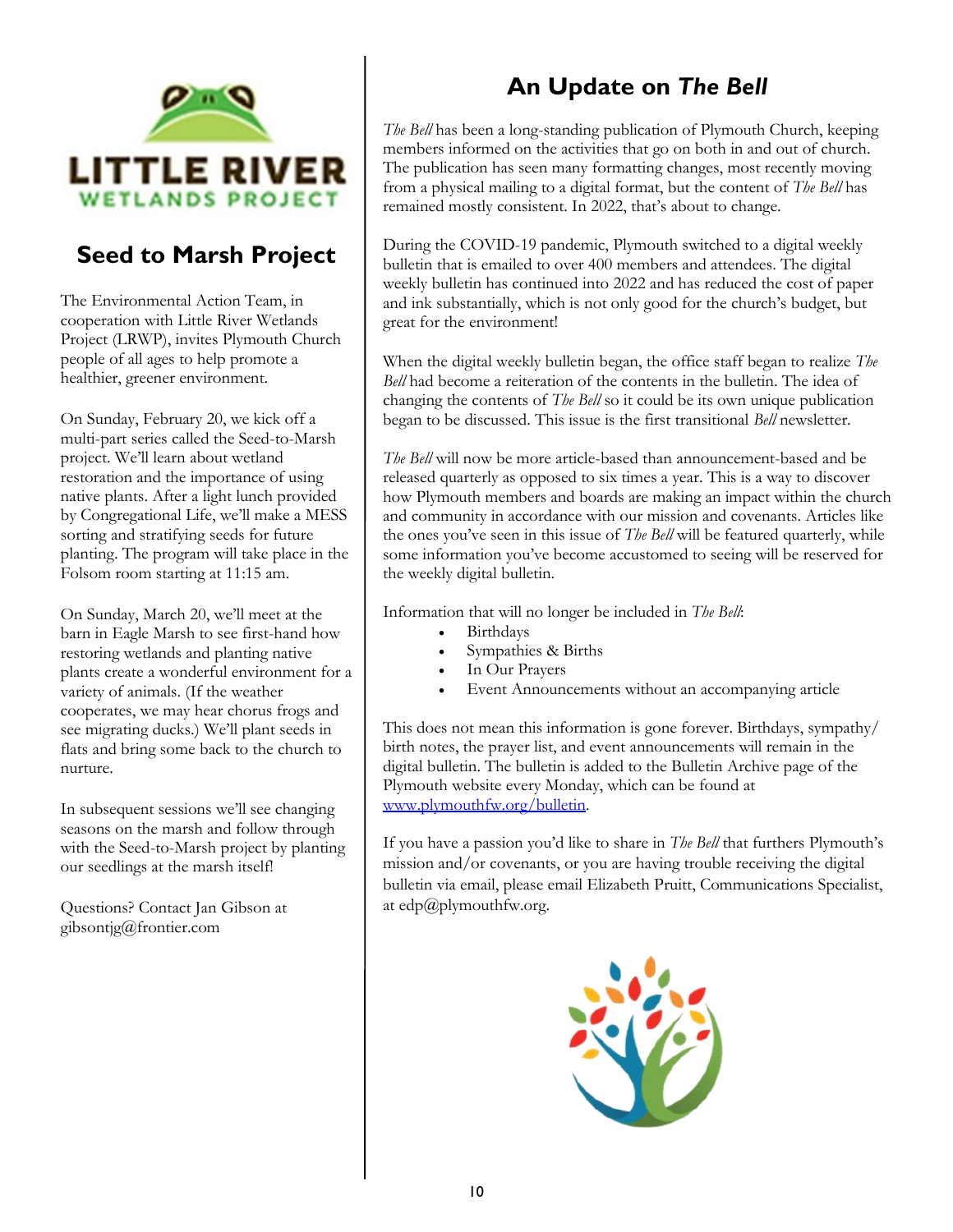

### **Seed to Marsh Project**

The Environmental Action Team, in cooperation with Little River Wetlands Project (LRWP), invites Plymouth Church people of all ages to help promote a healthier, greener environment.

On Sunday, February 20, we kick off a multi-part series called the Seed-to-Marsh project. We'll learn about wetland restoration and the importance of using native plants. After a light lunch provided by Congregational Life, we'll make a MESS sorting and stratifying seeds for future planting. The program will take place in the Folsom room starting at 11:15 am.

On Sunday, March 20, we'll meet at the barn in Eagle Marsh to see first-hand how restoring wetlands and planting native plants create a wonderful environment for a variety of animals. (If the weather cooperates, we may hear chorus frogs and see migrating ducks.) We'll plant seeds in flats and bring some back to the church to nurture.

In subsequent sessions we'll see changing seasons on the marsh and follow through with the Seed-to-Marsh project by planting our seedlings at the marsh itself!

Questions? Contact Jan Gibson at gibsontjg@frontier.com

## **An Update on** *The Bell*

*The Bell* has been a long-standing publication of Plymouth Church, keeping members informed on the activities that go on both in and out of church. The publication has seen many formatting changes, most recently moving from a physical mailing to a digital format, but the content of *The Bell* has remained mostly consistent. In 2022, that's about to change.

During the COVID-19 pandemic, Plymouth switched to a digital weekly bulletin that is emailed to over 400 members and attendees. The digital weekly bulletin has continued into 2022 and has reduced the cost of paper and ink substantially, which is not only good for the church's budget, but great for the environment!

When the digital weekly bulletin began, the office staff began to realize *The Bell* had become a reiteration of the contents in the bulletin. The idea of changing the contents of *The Bell* so it could be its own unique publication began to be discussed. This issue is the first transitional *Bell* newsletter.

*The Bell* will now be more article-based than announcement-based and be released quarterly as opposed to six times a year. This is a way to discover how Plymouth members and boards are making an impact within the church and community in accordance with our mission and covenants. Articles like the ones you've seen in this issue of *The Bell* will be featured quarterly, while some information you've become accustomed to seeing will be reserved for the weekly digital bulletin.

Information that will no longer be included in *The Bell*:

- **Birthdays**
- Sympathies & Births
- In Our Prayers
- Event Announcements without an accompanying article

This does not mean this information is gone forever. Birthdays, sympathy/ birth notes, the prayer list, and event announcements will remain in the digital bulletin. The bulletin is added to the Bulletin Archive page of the Plymouth website every Monday, which can be found at [www.plymouthfw.org/bulletin.](http://www.plymouthfw.org/bulletin) 

If you have a passion you'd like to share in *The Bell* that furthers Plymouth's mission and/or covenants, or you are having trouble receiving the digital bulletin via email, please email Elizabeth Pruitt, Communications Specialist, at edp@plymouthfw.org.